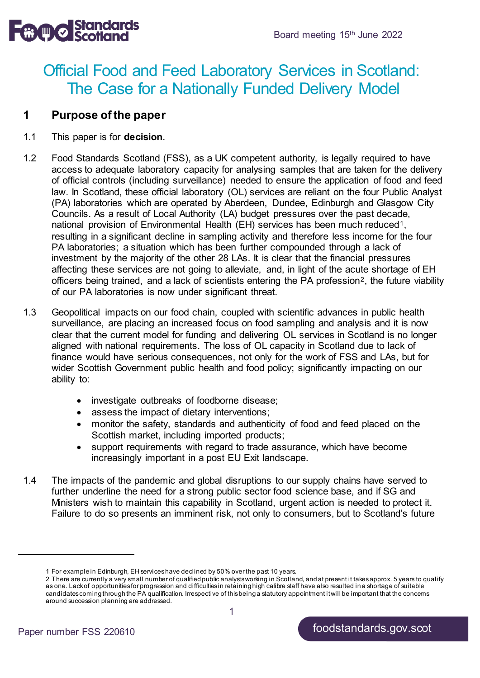$\mathbb{R} \setminus \mathbb{R}$  Signal meeting 15th June 2022

# Official Food and Feed Laboratory Services in Scotland: The Case for a Nationally Funded Delivery Model

#### **1 Purpose of the paper**

- 1.1 This paper is for **decision**.
- 1.2 Food Standards Scotland (FSS), as a UK competent authority, is legally required to have access to adequate laboratory capacity for analysing samples that are taken for the delivery of official controls (including surveillance) needed to ensure the application of food and feed law. In Scotland, these official laboratory (OL) services are reliant on the four Public Analyst (PA) laboratories which are operated by Aberdeen, Dundee, Edinburgh and Glasgow City Councils. As a result of Local Authority (LA) budget pressures over the past decade, national provision of Environmental Health (EH) services has been much reduced<sup>[1](#page-0-0)</sup>, resulting in a significant decline in sampling activity and therefore less income for the four PA laboratories; a situation which has been further compounded through a lack of investment by the majority of the other 28 LAs. It is clear that the financial pressures affecting these services are not going to alleviate, and, in light of the acute shortage of EH officers being trained, and a lack of scientists entering the PA profession<sup>[2](#page-0-1)</sup>, the future viability of our PA laboratories is now under significant threat.
- 1.3 Geopolitical impacts on our food chain, coupled with scientific advances in public health surveillance, are placing an increased focus on food sampling and analysis and it is now clear that the current model for funding and delivering OL services in Scotland is no longer aligned with national requirements. The loss of OL capacity in Scotland due to lack of finance would have serious consequences, not only for the work of FSS and LAs, but for wider Scottish Government public health and food policy; significantly impacting on our ability to:
	- investigate outbreaks of foodborne disease;
	- assess the impact of dietary interventions;
	- monitor the safety, standards and authenticity of food and feed placed on the Scottish market, including imported products;
	- support requirements with regard to trade assurance, which have become increasingly important in a post EU Exit landscape.
- 1.4 The impacts of the pandemic and global disruptions to our supply chains have served to further underline the need for a strong public sector food science base, and if SG and Ministers wish to maintain this capability in Scotland, urgent action is needed to protect it. Failure to do so presents an imminent risk, not only to consumers, but to Scotland's future

<sup>1</sup> For example in Edinburgh, EH services have declined by 50% over the past 10 years.

<span id="page-0-1"></span><span id="page-0-0"></span><sup>2</sup> There are currently a very small number of qualified public analysts working in Scotland, and at present it takes approx. 5 years to qualify as one. Lack of opportunities for progression and difficulties in retaining high calibre staff have also resulted in a shortage of suitable candidates coming through the PA qualification. Irrespective of this being a statutory appointment it will be important that the concerns around succession planning are addressed.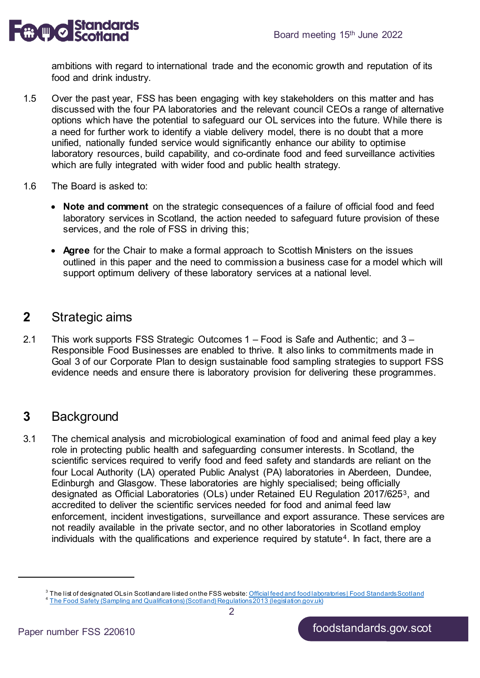

ambitions with regard to international trade and the economic growth and reputation of its food and drink industry.

- 1.5 Over the past year, FSS has been engaging with key stakeholders on this matter and has discussed with the four PA laboratories and the relevant council CEOs a range of alternative options which have the potential to safeguard our OL services into the future. While there is a need for further work to identify a viable delivery model, there is no doubt that a more unified, nationally funded service would significantly enhance our ability to optimise laboratory resources, build capability, and co-ordinate food and feed surveillance activities which are fully integrated with wider food and public health strategy.
- 1.6 The Board is asked to:
	- **Note and comment** on the strategic consequences of a failure of official food and feed laboratory services in Scotland, the action needed to safeguard future provision of these services, and the role of FSS in driving this;
	- **Agree** for the Chair to make a formal approach to Scottish Ministers on the issues outlined in this paper and the need to commission a business case for a model which will support optimum delivery of these laboratory services at a national level.

### **2** Strategic aims

2.1 This work supports FSS Strategic Outcomes 1 – Food is Safe and Authentic; and 3 – Responsible Food Businesses are enabled to thrive. It also links to commitments made in Goal 3 of our Corporate Plan to design sustainable food sampling strategies to support FSS evidence needs and ensure there is laboratory provision for delivering these programmes.

### **3** Background

3.1 The chemical analysis and microbiological examination of food and animal feed play a key role in protecting public health and safeguarding consumer interests. In Scotland, the scientific services required to verify food and feed safety and standards are reliant on the four Local Authority (LA) operated Public Analyst (PA) laboratories in Aberdeen, Dundee, Edinburgh and Glasgow. These laboratories are highly specialised; being officially designated as Official Laboratories (OLs) under Retained EU Regulation 2017/625[3](#page-1-0), and accredited to deliver the scientific services needed for food and animal feed law enforcement, incident investigations, surveillance and export assurance. These services are not readily available in the private sector, and no other laboratories in Scotland employ individuals with the qualifications and experience required by statute<sup>[4](#page-1-1)</sup>. In fact, there are a

<span id="page-1-1"></span><span id="page-1-0"></span><sup>&</sup>lt;sup>3</sup> The list of designated OLsin Scotland are listed on the FSS website[: Official feed and food laboratories | Food Standards Scotland](https://www.foodstandards.gov.scot/business-and-industry/local-authorities-gateway/official-feed-and-food-laboratories)<br><sup>4</sup> The Food Safety (Sampling and Qualifications) (Scotland) Regulations 2013 (legislat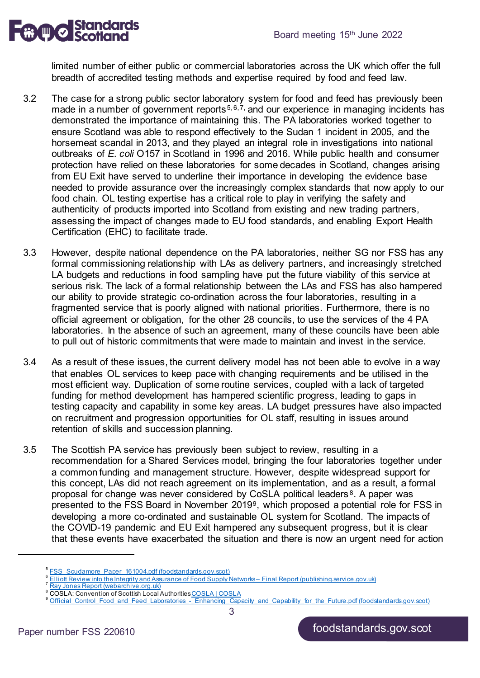

limited number of either public or commercial laboratories across the UK which offer the full breadth of accredited testing methods and expertise required by food and feed law.

- 3.2 The case for a strong public sector laboratory system for food and feed has previously been made in a number of government reports<sup>[5](#page-2-0),[6](#page-2-1),[7](#page-2-2),</sup> and our experience in managing incidents has demonstrated the importance of maintaining this. The PA laboratories worked together to ensure Scotland was able to respond effectively to the Sudan 1 incident in 2005, and the horsemeat scandal in 2013, and they played an integral role in investigations into national outbreaks of *E. coli* O157 in Scotland in 1996 and 2016. While public health and consumer protection have relied on these laboratories for some decades in Scotland, changes arising from EU Exit have served to underline their importance in developing the evidence base needed to provide assurance over the increasingly complex standards that now apply to our food chain. OL testing expertise has a critical role to play in verifying the safety and authenticity of products imported into Scotland from existing and new trading partners, assessing the impact of changes made to EU food standards, and enabling Export Health Certification (EHC) to facilitate trade.
- 3.3 However, despite national dependence on the PA laboratories, neither SG nor FSS has any formal commissioning relationship with LAs as delivery partners, and increasingly stretched LA budgets and reductions in food sampling have put the future viability of this service at serious risk. The lack of a formal relationship between the LAs and FSS has also hampered our ability to provide strategic co-ordination across the four laboratories, resulting in a fragmented service that is poorly aligned with national priorities. Furthermore, there is no official agreement or obligation, for the other 28 councils, to use the services of the 4 PA laboratories. In the absence of such an agreement, many of these councils have been able to pull out of historic commitments that were made to maintain and invest in the service.
- 3.4 As a result of these issues, the current delivery model has not been able to evolve in a way that enables OL services to keep pace with changing requirements and be utilised in the most efficient way. Duplication of some routine services, coupled with a lack of targeted funding for method development has hampered scientific progress, leading to gaps in testing capacity and capability in some key areas. LA budget pressures have also impacted on recruitment and progression opportunities for OL staff, resulting in issues around retention of skills and succession planning.
- 3.5 The Scottish PA service has previously been subject to review, resulting in a recommendation for a Shared Services model, bringing the four laboratories together under a common funding and management structure. However, despite widespread support for this concept, LAs did not reach agreement on its implementation, and as a result, a formal proposal for change was never considered by CoSLA political leaders [8](#page-2-3). A paper was presented to the FSS Board in November 2019[9](#page-2-4), which proposed a potential role for FSS in developing a more co-ordinated and sustainable OL system for Scotland. The impacts of the COVID-19 pandemic and EU Exit hampered any subsequent progress, but it is clear that these events have exacerbated the situation and there is now an urgent need for action

3

<span id="page-2-0"></span>[FSS\\_Scudamore\\_Paper\\_161004.pdf \(foodstandards.gov.scot\)](https://www.foodstandards.gov.scot/downloads/FSS_Scudamore_Paper_161004.pdf)

[Elliott Review into the Integrity and Assurance of](https://assets.publishing.service.gov.uk/government/uploads/system/uploads/attachment_data/file/350726/elliot-review-final-report-july2014.pdf) Food Supply Networks – Final Report (publishing.service.gov.uk)<br>[Ray Jones Report \(webarchive.org.uk\)](https://www.webarchive.org.uk/wayback/archive/20150218221251/http:/www.gov.scot/Topics/farmingrural/Agriculture/Livestock/Meat/rayjonesreport)

<span id="page-2-4"></span><span id="page-2-3"></span><span id="page-2-2"></span><span id="page-2-1"></span><sup>8</sup> COSLA: Convention of Scottish Local Authoritie[s COSLA | COSLA](https://www.cosla.gov.uk/)<br>Porticial\_Control\_Food\_and\_Feed\_Laboratories\_-\_Enhancing\_Capacity\_and\_Capability\_for\_the\_Future.pdf (foodstandards.gov.scot)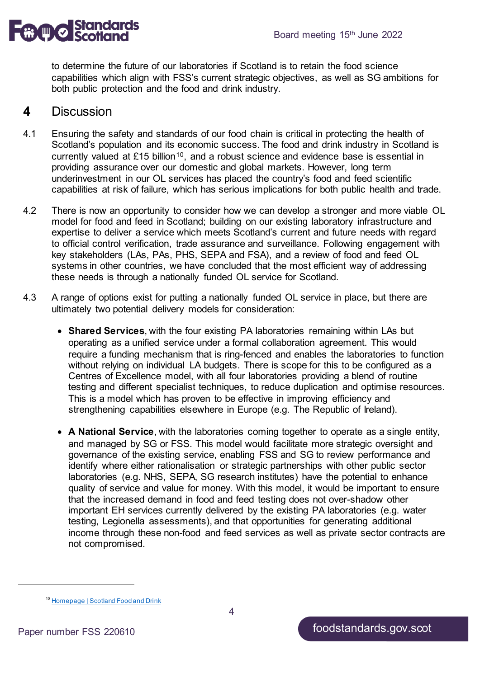

to determine the future of our laboratories if Scotland is to retain the food science capabilities which align with FSS's current strategic objectives, as well as SG ambitions for both public protection and the food and drink industry.

#### **4** Discussion

- 4.1 Ensuring the safety and standards of our food chain is critical in protecting the health of Scotland's population and its economic success. The food and drink industry in Scotland is currently valued at £15 billion<sup>[10](#page-3-0)</sup>, and a robust science and evidence base is essential in providing assurance over our domestic and global markets. However, long term underinvestment in our OL services has placed the country's food and feed scientific capabilities at risk of failure, which has serious implications for both public health and trade.
- 4.2 There is now an opportunity to consider how we can develop a stronger and more viable OL model for food and feed in Scotland; building on our existing laboratory infrastructure and expertise to deliver a service which meets Scotland's current and future needs with regard to official control verification, trade assurance and surveillance. Following engagement with key stakeholders (LAs, PAs, PHS, SEPA and FSA), and a review of food and feed OL systems in other countries, we have concluded that the most efficient way of addressing these needs is through a nationally funded OL service for Scotland.
- 4.3 A range of options exist for putting a nationally funded OL service in place, but there are ultimately two potential delivery models for consideration:
	- **Shared Services**, with the four existing PA laboratories remaining within LAs but operating as a unified service under a formal collaboration agreement. This would require a funding mechanism that is ring-fenced and enables the laboratories to function without relying on individual LA budgets. There is scope for this to be configured as a Centres of Excellence model, with all four laboratories providing a blend of routine testing and different specialist techniques, to reduce duplication and optimise resources. This is a model which has proven to be effective in improving efficiency and strengthening capabilities elsewhere in Europe (e.g. The Republic of Ireland).
	- **A National Service**, with the laboratories coming together to operate as a single entity, and managed by SG or FSS. This model would facilitate more strategic oversight and governance of the existing service, enabling FSS and SG to review performance and identify where either rationalisation or strategic partnerships with other public sector laboratories (e.g. NHS, SEPA, SG research institutes) have the potential to enhance quality of service and value for money. With this model, it would be important to ensure that the increased demand in food and feed testing does not over-shadow other important EH services currently delivered by the existing PA laboratories (e.g. water testing, Legionella assessments), and that opportunities for generating additional income through these non-food and feed services as well as private sector contracts are not compromised.

<span id="page-3-0"></span><sup>&</sup>lt;sup>10</sup> [Homepage | Scotland Food and Drink](https://foodanddrink.scot/)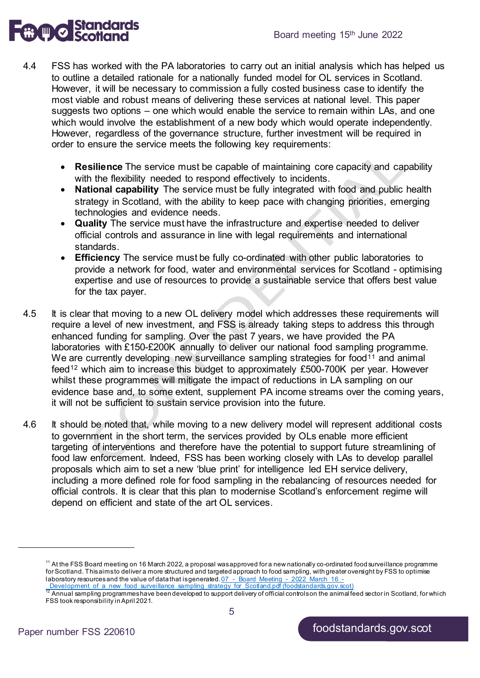

- 4.4 FSS has worked with the PA laboratories to carry out an initial analysis which has helped us to outline a detailed rationale for a nationally funded model for OL services in Scotland. However, it will be necessary to commission a fully costed business case to identify the most viable and robust means of delivering these services at national level. This paper suggests two options – one which would enable the service to remain within LAs, and one which would involve the establishment of a new body which would operate independently. However, regardless of the governance structure, further investment will be required in order to ensure the service meets the following key requirements:
	- **Resilience** The service must be capable of maintaining core capacity and capability with the flexibility needed to respond effectively to incidents.
	- **National capability** The service must be fully integrated with food and public health strategy in Scotland, with the ability to keep pace with changing priorities, emerging technologies and evidence needs.
	- **Quality** The service must have the infrastructure and expertise needed to deliver official controls and assurance in line with legal requirements and international standards.
	- **Efficiency** The service must be fully co-ordinated with other public laboratories to provide a network for food, water and environmental services for Scotland - optimising expertise and use of resources to provide a sustainable service that offers best value for the tax payer.
- 4.5 It is clear that moving to a new OL delivery model which addresses these requirements will require a level of new investment, and FSS is already taking steps to address this through enhanced funding for sampling. Over the past 7 years, we have provided the PA laboratories with £150-£200K annually to deliver our national food sampling programme. We are currently developing new surveillance sampling strategies for food<sup>[11](#page-4-0)</sup> and animal feed[12](#page-4-1) which aim to increase this budget to approximately £500-700K per year. However whilst these programmes will mitigate the impact of reductions in LA sampling on our evidence base and, to some extent, supplement PA income streams over the coming years, it will not be sufficient to sustain service provision into the future.
- 4.6 It should be noted that, while moving to a new delivery model will represent additional costs to government in the short term, the services provided by OLs enable more efficient targeting of interventions and therefore have the potential to support future streamlining of food law enforcement. Indeed, FSS has been working closely with LAs to develop parallel proposals which aim to set a new 'blue print' for intelligence led EH service delivery, including a more defined role for food sampling in the rebalancing of resources needed for official controls. It is clear that this plan to modernise Scotland's enforcement regime will depend on efficient and state of the art OL services.

<span id="page-4-0"></span>1

<sup>&</sup>lt;sup>11</sup> At the FSS Board meeting on 16 March 2022, a proposal was approved for a new nationally co-ordinated food surveillance programme for Scotland. This aims to deliver a more structured and targeted approach to food sampling, with greater oversight by FSS to optimise laboratory resources and the value of data that is generated.  $\underline{07}-$  Board\_Meeting  $-$  2022\_March\_16  $-$ 

Development of a new food surveillance sampling strategy for Scotland.pdf (foodstandards.gov.scot) <sup>12</sup> Annual sampling programmes have been developed to support delivery of official controls on the animal feed sector in Scotland, for which

<span id="page-4-1"></span>FSS took responsibility in April 2021.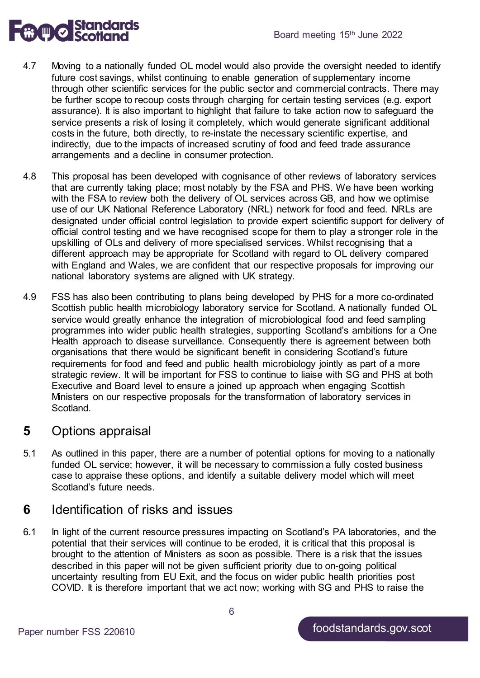

- 4.7 Moving to a nationally funded OL model would also provide the oversight needed to identify future cost savings, whilst continuing to enable generation of supplementary income through other scientific services for the public sector and commercial contracts. There may be further scope to recoup costs through charging for certain testing services (e.g. export assurance). It is also important to highlight that failure to take action now to safeguard the service presents a risk of losing it completely, which would generate significant additional costs in the future, both directly, to re-instate the necessary scientific expertise, and indirectly, due to the impacts of increased scrutiny of food and feed trade assurance arrangements and a decline in consumer protection.
- 4.8 This proposal has been developed with cognisance of other reviews of laboratory services that are currently taking place; most notably by the FSA and PHS. We have been working with the FSA to review both the delivery of OL services across GB, and how we optimise use of our UK National Reference Laboratory (NRL) network for food and feed. NRLs are designated under official control legislation to provide expert scientific support for delivery of official control testing and we have recognised scope for them to play a stronger role in the upskilling of OLs and delivery of more specialised services. Whilst recognising that a different approach may be appropriate for Scotland with regard to OL delivery compared with England and Wales, we are confident that our respective proposals for improving our national laboratory systems are aligned with UK strategy.
- 4.9 FSS has also been contributing to plans being developed by PHS for a more co-ordinated Scottish public health microbiology laboratory service for Scotland. A nationally funded OL service would greatly enhance the integration of microbiological food and feed sampling programmes into wider public health strategies, supporting Scotland's ambitions for a One Health approach to disease surveillance. Consequently there is agreement between both organisations that there would be significant benefit in considering Scotland's future requirements for food and feed and public health microbiology jointly as part of a more strategic review. It will be important for FSS to continue to liaise with SG and PHS at both Executive and Board level to ensure a joined up approach when engaging Scottish Ministers on our respective proposals for the transformation of laboratory services in Scotland.

#### **5** Options appraisal

5.1 As outlined in this paper, there are a number of potential options for moving to a nationally funded OL service; however, it will be necessary to commission a fully costed business case to appraise these options, and identify a suitable delivery model which will meet Scotland's future needs.

### **6** Identification of risks and issues

6.1 In light of the current resource pressures impacting on Scotland's PA laboratories, and the potential that their services will continue to be eroded, it is critical that this proposal is brought to the attention of Ministers as soon as possible. There is a risk that the issues described in this paper will not be given sufficient priority due to on-going political uncertainty resulting from EU Exit, and the focus on wider public health priorities post COVID. It is therefore important that we act now; working with SG and PHS to raise the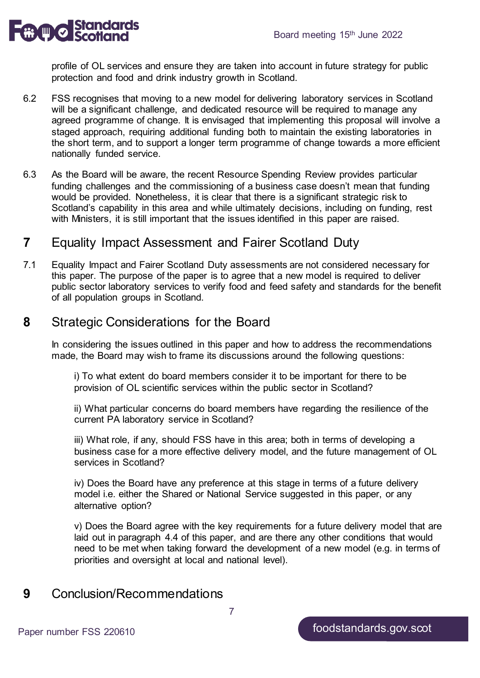

profile of OL services and ensure they are taken into account in future strategy for public protection and food and drink industry growth in Scotland.

- 6.2 FSS recognises that moving to a new model for delivering laboratory services in Scotland will be a significant challenge, and dedicated resource will be required to manage any agreed programme of change. It is envisaged that implementing this proposal will involve a staged approach, requiring additional funding both to maintain the existing laboratories in the short term, and to support a longer term programme of change towards a more efficient nationally funded service.
- 6.3 As the Board will be aware, the recent Resource Spending Review provides particular funding challenges and the commissioning of a business case doesn't mean that funding would be provided. Nonetheless, it is clear that there is a significant strategic risk to Scotland's capability in this area and while ultimately decisions, including on funding, rest with Ministers, it is still important that the issues identified in this paper are raised.

# **7** Equality Impact Assessment and Fairer Scotland Duty

7.1 Equality Impact and Fairer Scotland Duty assessments are not considered necessary for this paper. The purpose of the paper is to agree that a new model is required to deliver public sector laboratory services to verify food and feed safety and standards for the benefit of all population groups in Scotland.

# **8** Strategic Considerations for the Board

In considering the issues outlined in this paper and how to address the recommendations made, the Board may wish to frame its discussions around the following questions:

i) To what extent do board members consider it to be important for there to be provision of OL scientific services within the public sector in Scotland?

ii) What particular concerns do board members have regarding the resilience of the current PA laboratory service in Scotland?

iii) What role, if any, should FSS have in this area; both in terms of developing a business case for a more effective delivery model, and the future management of OL services in Scotland?

iv) Does the Board have any preference at this stage in terms of a future delivery model i.e. either the Shared or National Service suggested in this paper, or any alternative option?

v) Does the Board agree with the key requirements for a future delivery model that are laid out in paragraph 4.4 of this paper, and are there any other conditions that would need to be met when taking forward the development of a new model (e.g. in terms of priorities and oversight at local and national level).

# **9** Conclusion/Recommendations